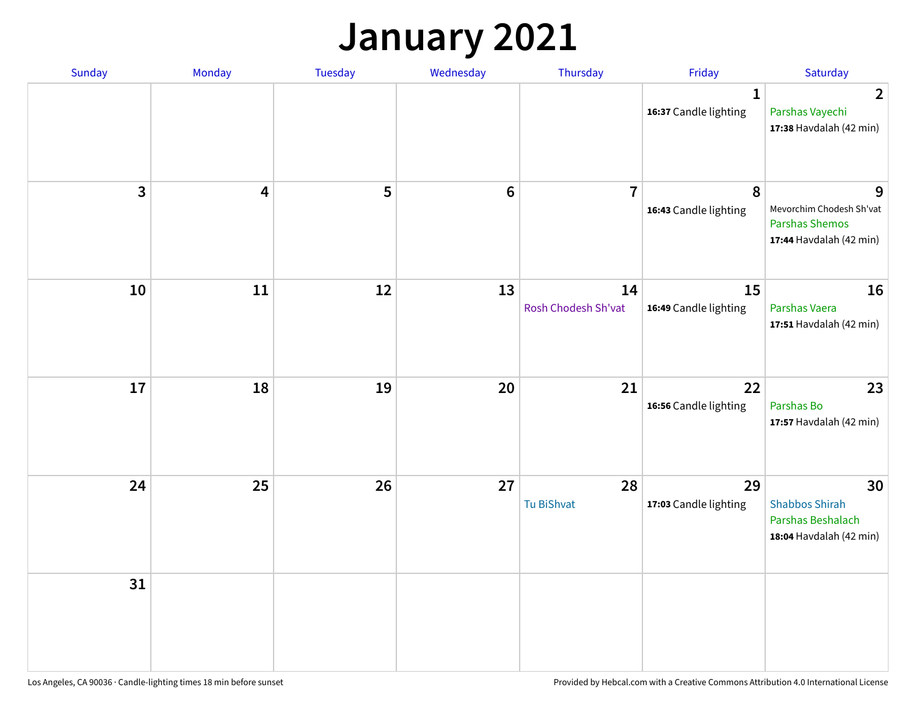## **January 2021**

| Sunday       | Monday                  | Tuesday | Wednesday       | Thursday                  | Friday                                | Saturday                                                                          |
|--------------|-------------------------|---------|-----------------|---------------------------|---------------------------------------|-----------------------------------------------------------------------------------|
|              |                         |         |                 |                           | $\mathbf{1}$<br>16:37 Candle lighting | $\overline{2}$<br>Parshas Vayechi<br>17:38 Havdalah (42 min)                      |
| $\mathbf{3}$ | $\overline{\mathbf{4}}$ | 5       | $6\phantom{1}6$ | $\overline{7}$            | 8<br>16:43 Candle lighting            | 9<br>Mevorchim Chodesh Sh'vat<br><b>Parshas Shemos</b><br>17:44 Havdalah (42 min) |
| 10           | 11                      | 12      | 13              | 14<br>Rosh Chodesh Sh'vat | 15<br>16:49 Candle lighting           | 16<br>Parshas Vaera<br>17:51 Havdalah (42 min)                                    |
| 17           | 18                      | 19      | 20              | 21                        | 22<br>16:56 Candle lighting           | 23<br>Parshas Bo<br>17:57 Havdalah (42 min)                                       |
| 24           | 25                      | 26      | 27              | 28<br>Tu BiShvat          | 29<br>17:03 Candle lighting           | 30<br><b>Shabbos Shirah</b><br>Parshas Beshalach<br>18:04 Havdalah (42 min)       |
| 31           |                         |         |                 |                           |                                       |                                                                                   |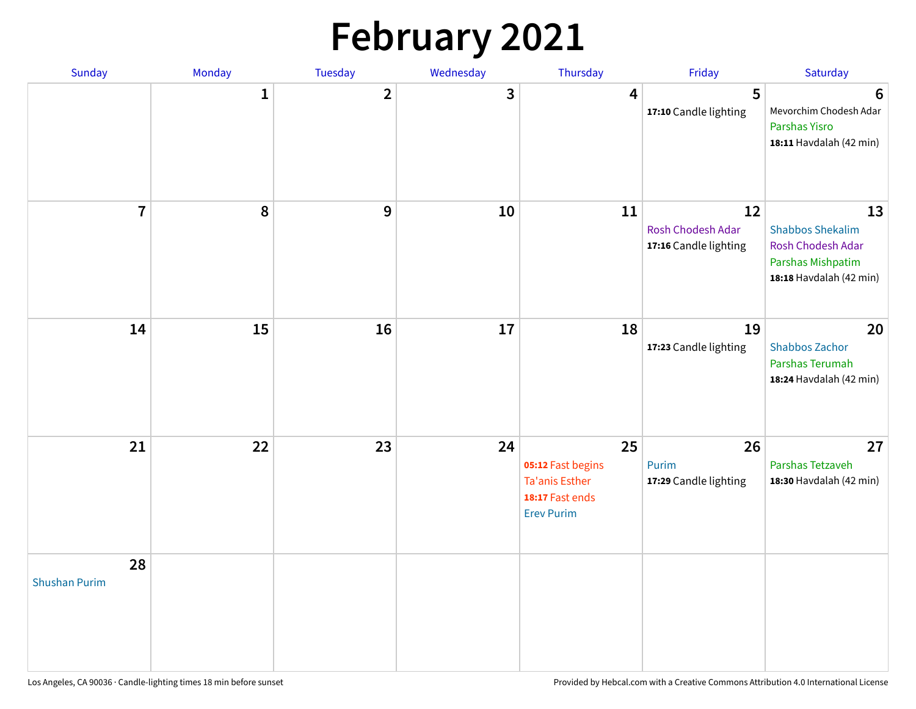# **February 2021**

| <b>Sunday</b>              | Monday       | <b>Tuesday</b> | Wednesday | Thursday                                                                                 | Friday                                           | Saturday                                                                                           |
|----------------------------|--------------|----------------|-----------|------------------------------------------------------------------------------------------|--------------------------------------------------|----------------------------------------------------------------------------------------------------|
|                            | $\mathbf{1}$ | $\overline{2}$ | 3         | 4                                                                                        | 5<br>17:10 Candle lighting                       | 6<br>Mevorchim Chodesh Adar<br>Parshas Yisro<br>18:11 Havdalah (42 min)                            |
| $\overline{\mathbf{7}}$    | 8            | 9              | 10        | 11                                                                                       | 12<br>Rosh Chodesh Adar<br>17:16 Candle lighting | 13<br><b>Shabbos Shekalim</b><br>Rosh Chodesh Adar<br>Parshas Mishpatim<br>18:18 Havdalah (42 min) |
| 14                         | 15           | 16             | 17        | 18                                                                                       | 19<br>17:23 Candle lighting                      | 20<br><b>Shabbos Zachor</b><br>Parshas Terumah<br>18:24 Havdalah (42 min)                          |
| 21                         | 22           | 23             | 24        | 25<br>05:12 Fast begins<br><b>Ta'anis Esther</b><br>18:17 Fast ends<br><b>Erev Purim</b> | 26<br>Purim<br>17:29 Candle lighting             | 27<br>Parshas Tetzaveh<br>18:30 Havdalah (42 min)                                                  |
| 28<br><b>Shushan Purim</b> |              |                |           |                                                                                          |                                                  |                                                                                                    |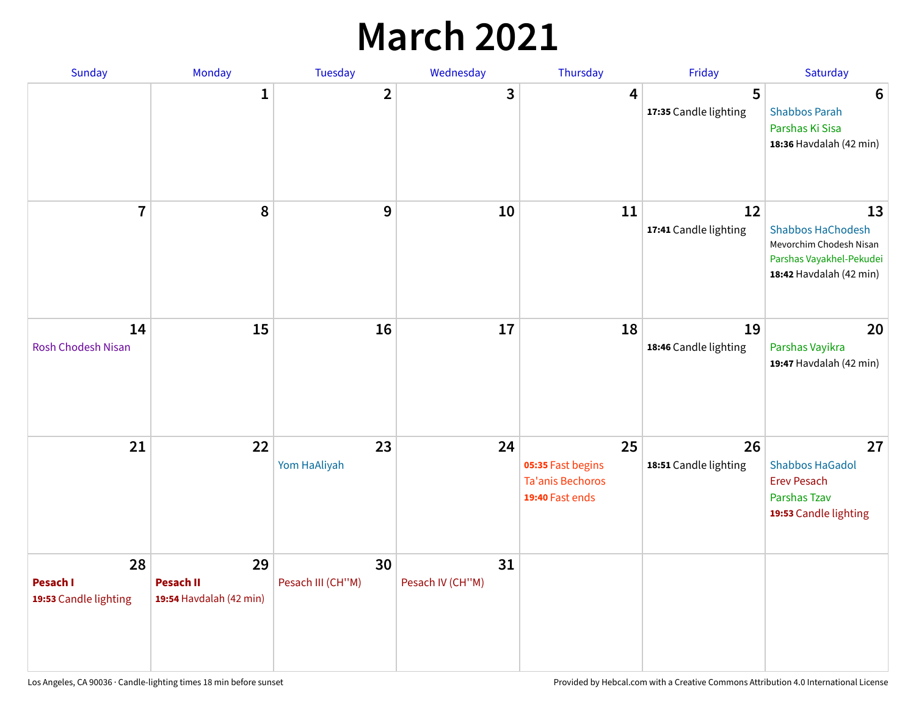## **March 2021**

| Sunday                                  | Monday                                            | <b>Tuesday</b>          | Wednesday              | Thursday                                                              | Friday                      | Saturday                                                                                                         |
|-----------------------------------------|---------------------------------------------------|-------------------------|------------------------|-----------------------------------------------------------------------|-----------------------------|------------------------------------------------------------------------------------------------------------------|
|                                         | 1                                                 | $\overline{2}$          | 3                      | 4                                                                     | 5<br>17:35 Candle lighting  | $6\phantom{1}6$<br><b>Shabbos Parah</b><br>Parshas Ki Sisa<br>18:36 Havdalah (42 min)                            |
| $\overline{7}$                          | 8                                                 | 9                       | 10                     | 11                                                                    | 12<br>17:41 Candle lighting | 13<br><b>Shabbos HaChodesh</b><br>Mevorchim Chodesh Nisan<br>Parshas Vayakhel-Pekudei<br>18:42 Havdalah (42 min) |
| 14<br><b>Rosh Chodesh Nisan</b>         | 15                                                | 16                      | 17                     | 18                                                                    | 19<br>18:46 Candle lighting | 20<br>Parshas Vayikra<br>19:47 Havdalah (42 min)                                                                 |
| 21                                      | 22                                                | 23<br>Yom HaAliyah      | 24                     | 25<br>05:35 Fast begins<br><b>Ta'anis Bechoros</b><br>19:40 Fast ends | 26<br>18:51 Candle lighting | 27<br><b>Shabbos HaGadol</b><br><b>Erev Pesach</b><br>Parshas Tzav<br>19:53 Candle lighting                      |
| 28<br>Pesach I<br>19:53 Candle lighting | 29<br><b>Pesach II</b><br>19:54 Havdalah (42 min) | 30<br>Pesach III (CH"M) | 31<br>Pesach IV (CH"M) |                                                                       |                             |                                                                                                                  |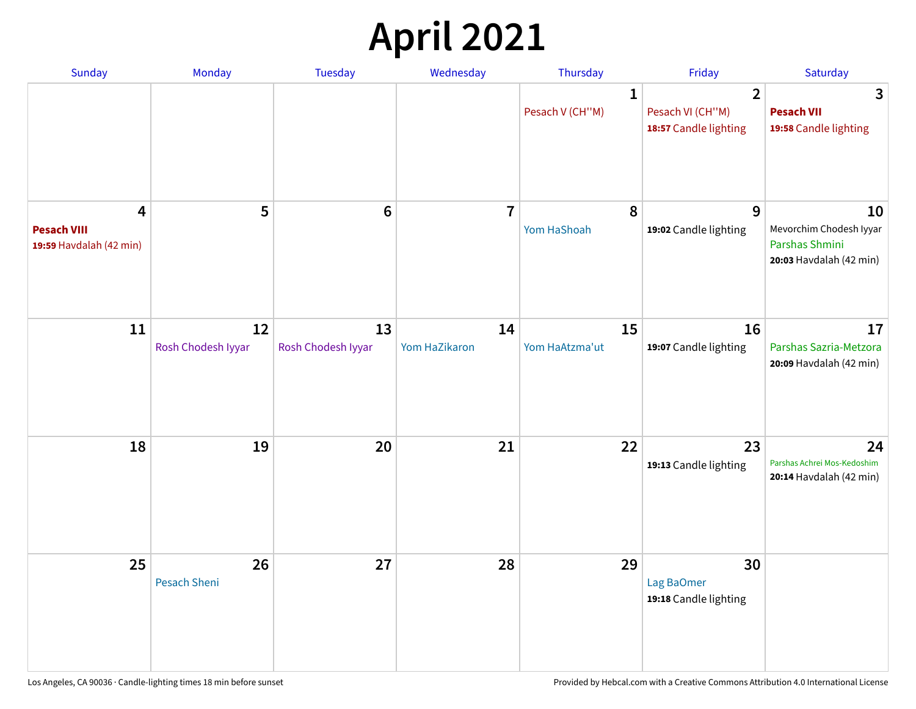# **April 2021**

| Sunday                                             | Monday                    | <b>Tuesday</b>           | Wednesday           | Thursday                        | Friday                                                      | Saturday                                                                   |
|----------------------------------------------------|---------------------------|--------------------------|---------------------|---------------------------------|-------------------------------------------------------------|----------------------------------------------------------------------------|
|                                                    |                           |                          |                     | $\mathbf{1}$<br>Pesach V (CH"M) | $\overline{2}$<br>Pesach VI (CH"M)<br>18:57 Candle lighting | 3<br><b>Pesach VII</b><br>19:58 Candle lighting                            |
| 4<br><b>Pesach VIII</b><br>19:59 Havdalah (42 min) | 5                         | $6\phantom{1}6$          | $\overline{7}$      | 8<br>Yom HaShoah                | 9<br>19:02 Candle lighting                                  | 10<br>Mevorchim Chodesh Iyyar<br>Parshas Shmini<br>20:03 Havdalah (42 min) |
| 11                                                 | 12<br>Rosh Chodesh Iyyar  | 13<br>Rosh Chodesh Iyyar | 14<br>Yom HaZikaron | 15<br>Yom HaAtzma'ut            | 16<br>19:07 Candle lighting                                 | 17<br>Parshas Sazria-Metzora<br>20:09 Havdalah (42 min)                    |
| 18                                                 | 19                        | 20                       | 21                  | 22                              | 23<br>19:13 Candle lighting                                 | 24<br>Parshas Achrei Mos-Kedoshim<br>20:14 Havdalah (42 min)               |
| 25                                                 | 26<br><b>Pesach Sheni</b> | 27                       | 28                  | 29                              | 30<br>Lag BaOmer<br>19:18 Candle lighting                   |                                                                            |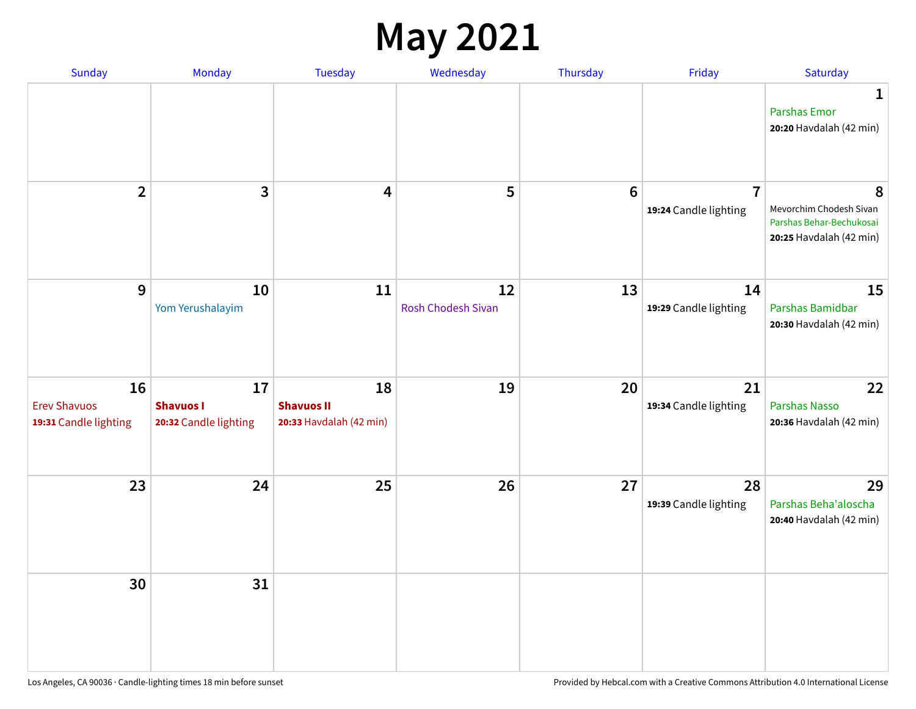#### **May 2021**

| Sunday                                             | Monday                                          | Tuesday                                            | Wednesday                       | Thursday | Friday                                  | Saturday                                                                            |
|----------------------------------------------------|-------------------------------------------------|----------------------------------------------------|---------------------------------|----------|-----------------------------------------|-------------------------------------------------------------------------------------|
|                                                    |                                                 |                                                    |                                 |          |                                         | 1<br><b>Parshas Emor</b><br>20:20 Havdalah (42 min)                                 |
| $\overline{2}$                                     | $\mathbf{3}$                                    | 4                                                  | 5                               | $\bf 6$  | $\overline{7}$<br>19:24 Candle lighting | 8<br>Mevorchim Chodesh Sivan<br>Parshas Behar-Bechukosai<br>20:25 Havdalah (42 min) |
| $\mathbf{9}$                                       | 10<br>Yom Yerushalayim                          | 11                                                 | 12<br><b>Rosh Chodesh Sivan</b> | 13       | 14<br>19:29 Candle lighting             | 15<br>Parshas Bamidbar<br>20:30 Havdalah (42 min)                                   |
| 16<br><b>Erev Shavuos</b><br>19:31 Candle lighting | 17<br><b>Shavuos I</b><br>20:32 Candle lighting | 18<br><b>Shavuos II</b><br>20:33 Havdalah (42 min) | 19                              | 20       | 21<br>19:34 Candle lighting             | 22<br>Parshas Nasso<br>20:36 Havdalah (42 min)                                      |
| 23                                                 | 24                                              | 25                                                 | 26                              | 27       | 28<br>19:39 Candle lighting             | 29<br>Parshas Beha'aloscha<br>20:40 Havdalah (42 min)                               |
| 30                                                 | 31                                              |                                                    |                                 |          |                                         |                                                                                     |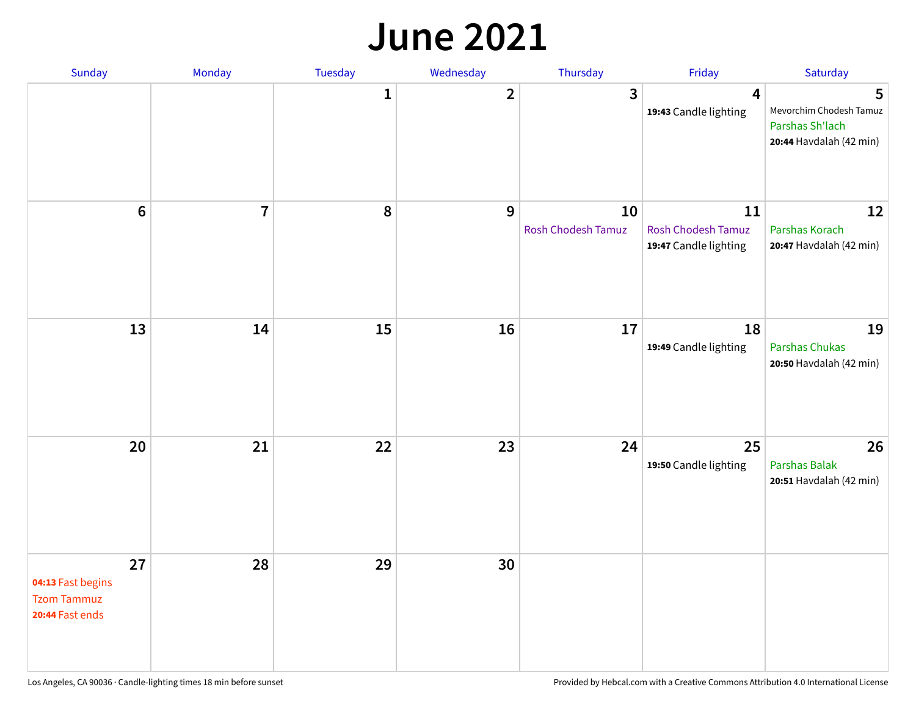#### **June 2021**

| Sunday                                                           | Monday         | Tuesday      | Wednesday               | Thursday                        | Friday                                                   | Saturday                                                                   |
|------------------------------------------------------------------|----------------|--------------|-------------------------|---------------------------------|----------------------------------------------------------|----------------------------------------------------------------------------|
|                                                                  |                | $\mathbf{1}$ | $\overline{\mathbf{2}}$ | 3                               | 4<br>19:43 Candle lighting                               | 5<br>Mevorchim Chodesh Tamuz<br>Parshas Sh'lach<br>20:44 Havdalah (42 min) |
| $6\phantom{1}$                                                   | $\overline{7}$ | 8            | 9                       | 10<br><b>Rosh Chodesh Tamuz</b> | 11<br><b>Rosh Chodesh Tamuz</b><br>19:47 Candle lighting | 12<br>Parshas Korach<br>20:47 Havdalah (42 min)                            |
| 13                                                               | 14             | 15           | 16                      | 17                              | 18<br>19:49 Candle lighting                              | 19<br>Parshas Chukas<br>20:50 Havdalah (42 min)                            |
| 20                                                               | 21             | 22           | 23                      | 24                              | 25<br>19:50 Candle lighting                              | 26<br>Parshas Balak<br>20:51 Havdalah (42 min)                             |
| 27<br>04:13 Fast begins<br><b>Tzom Tammuz</b><br>20:44 Fast ends | 28             | 29           | 30                      |                                 |                                                          |                                                                            |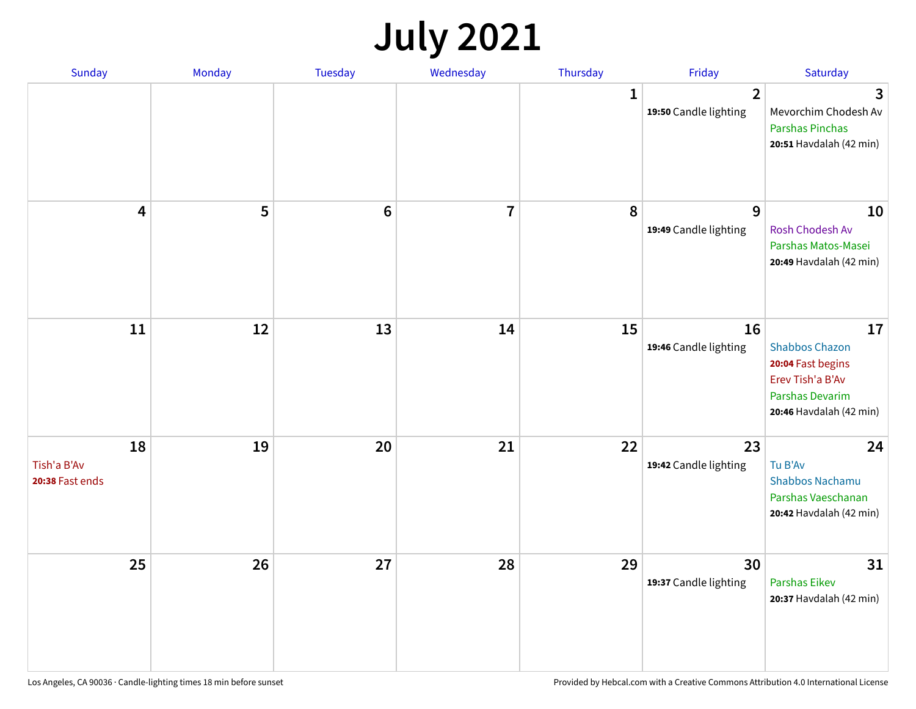## **July 2021**

| Sunday                               | Monday | <b>Tuesday</b> | Wednesday | Thursday     | Friday                                  | Saturday                                                                                                           |
|--------------------------------------|--------|----------------|-----------|--------------|-----------------------------------------|--------------------------------------------------------------------------------------------------------------------|
|                                      |        |                |           | $\mathbf{1}$ | $\overline{2}$<br>19:50 Candle lighting | 3<br>Mevorchim Chodesh Av<br><b>Parshas Pinchas</b><br>20:51 Havdalah (42 min)                                     |
| 4                                    | 5      | $\bf 6$        | 7         | 8            | 9<br>19:49 Candle lighting              | 10<br>Rosh Chodesh Av<br>Parshas Matos-Masei<br>20:49 Havdalah (42 min)                                            |
| 11                                   | 12     | 13             | 14        | 15           | 16<br>19:46 Candle lighting             | 17<br><b>Shabbos Chazon</b><br>20:04 Fast begins<br>Erev Tish'a B'Av<br>Parshas Devarim<br>20:46 Havdalah (42 min) |
| 18<br>Tish'a B'Av<br>20:38 Fast ends | 19     | 20             | 21        | 22           | 23<br>19:42 Candle lighting             | 24<br>Tu B'Av<br><b>Shabbos Nachamu</b><br>Parshas Vaeschanan<br>20:42 Havdalah (42 min)                           |
| 25                                   | 26     | 27             | 28        | 29           | 30<br>19:37 Candle lighting             | 31<br><b>Parshas Eikev</b><br>20:37 Havdalah (42 min)                                                              |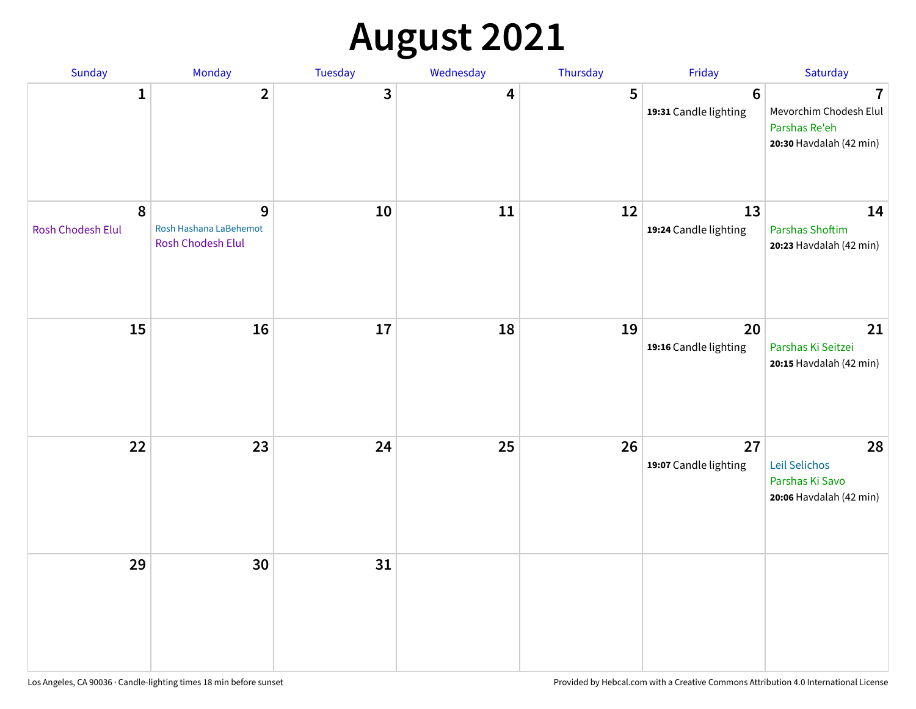# **August 2021**

| Sunday                 | Monday                                                  | Tuesday | Wednesday | Thursday | Friday                                  | Saturday                                                                             |
|------------------------|---------------------------------------------------------|---------|-----------|----------|-----------------------------------------|--------------------------------------------------------------------------------------|
| $\mathbf{1}$           | $\overline{2}$                                          | 3       | 4         | 5        | $6\phantom{1}$<br>19:31 Candle lighting | $\overline{1}$<br>Mevorchim Chodesh Elul<br>Parshas Re'eh<br>20:30 Havdalah (42 min) |
| 8<br>Rosh Chodesh Elul | 9<br>Rosh Hashana LaBehemot<br><b>Rosh Chodesh Elul</b> | 10      | 11        | 12       | 13<br>19:24 Candle lighting             | 14<br>Parshas Shoftim<br>20:23 Havdalah (42 min)                                     |
| 15                     | 16                                                      | 17      | 18        | 19       | 20<br>19:16 Candle lighting             | 21<br>Parshas Ki Seitzei<br>20:15 Havdalah (42 min)                                  |
| 22                     | 23                                                      | 24      | 25        | 26       | 27<br>19:07 Candle lighting             | 28<br>Leil Selichos<br>Parshas Ki Savo<br>20:06 Havdalah (42 min)                    |
| 29                     | 30                                                      | 31      |           |          |                                         |                                                                                      |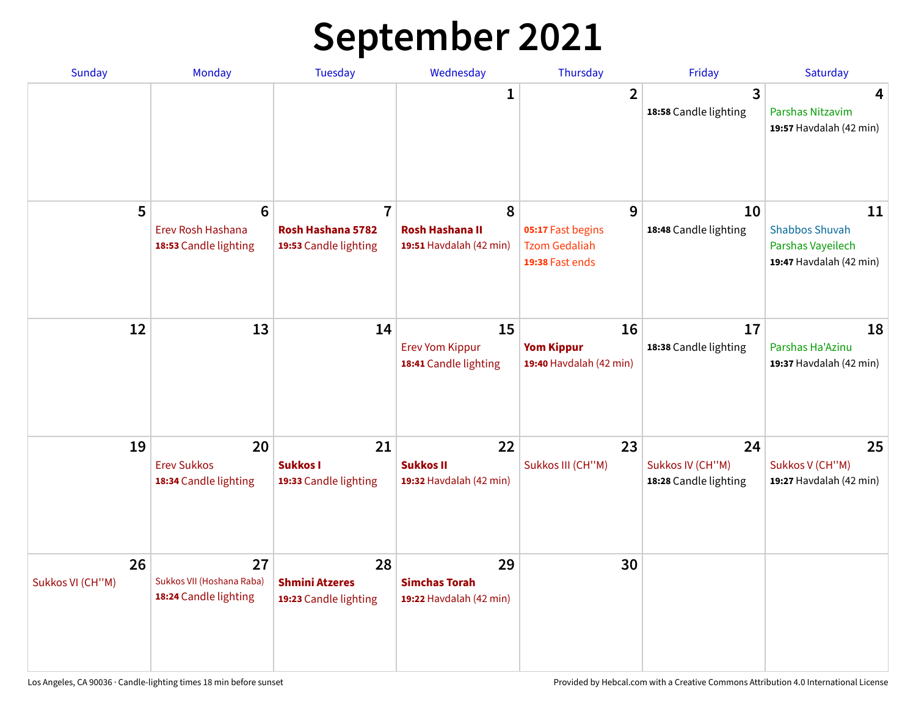## **September 2021**

| <b>Sunday</b>          | <b>Monday</b>                                                 | <b>Tuesday</b>                                               | Wednesday                                              | Thursday                                                          | Friday                                          | Saturday                                                                    |
|------------------------|---------------------------------------------------------------|--------------------------------------------------------------|--------------------------------------------------------|-------------------------------------------------------------------|-------------------------------------------------|-----------------------------------------------------------------------------|
|                        |                                                               |                                                              | 1                                                      | $\overline{2}$                                                    | 3<br>18:58 Candle lighting                      | 4<br>Parshas Nitzavim<br>19:57 Havdalah (42 min)                            |
| 5                      | $6\phantom{1}6$<br>Erev Rosh Hashana<br>18:53 Candle lighting | $\overline{7}$<br>Rosh Hashana 5782<br>19:53 Candle lighting | 8<br><b>Rosh Hashana II</b><br>19:51 Havdalah (42 min) | 9<br>05:17 Fast begins<br><b>Tzom Gedaliah</b><br>19:38 Fast ends | 10<br>18:48 Candle lighting                     | 11<br><b>Shabbos Shuvah</b><br>Parshas Vayeilech<br>19:47 Havdalah (42 min) |
| 12                     | 13                                                            | 14                                                           | 15<br><b>Erev Yom Kippur</b><br>18:41 Candle lighting  | 16<br><b>Yom Kippur</b><br>19:40 Havdalah (42 min)                | 17<br>18:38 Candle lighting                     | 18<br>Parshas Ha'Azinu<br>19:37 Havdalah (42 min)                           |
| 19                     | 20<br><b>Erev Sukkos</b><br>18:34 Candle lighting             | 21<br><b>Sukkos I</b><br>19:33 Candle lighting               | 22<br><b>Sukkos II</b><br>19:32 Havdalah (42 min)      | 23<br>Sukkos III (CH"M)                                           | 24<br>Sukkos IV (CH"M)<br>18:28 Candle lighting | 25<br>Sukkos V (CH"M)<br>19:27 Havdalah (42 min)                            |
| 26<br>Sukkos VI (CH"M) | 27<br>Sukkos VII (Hoshana Raba)<br>18:24 Candle lighting      | 28<br><b>Shmini Atzeres</b><br>19:23 Candle lighting         | 29<br><b>Simchas Torah</b><br>19:22 Havdalah (42 min)  | 30                                                                |                                                 |                                                                             |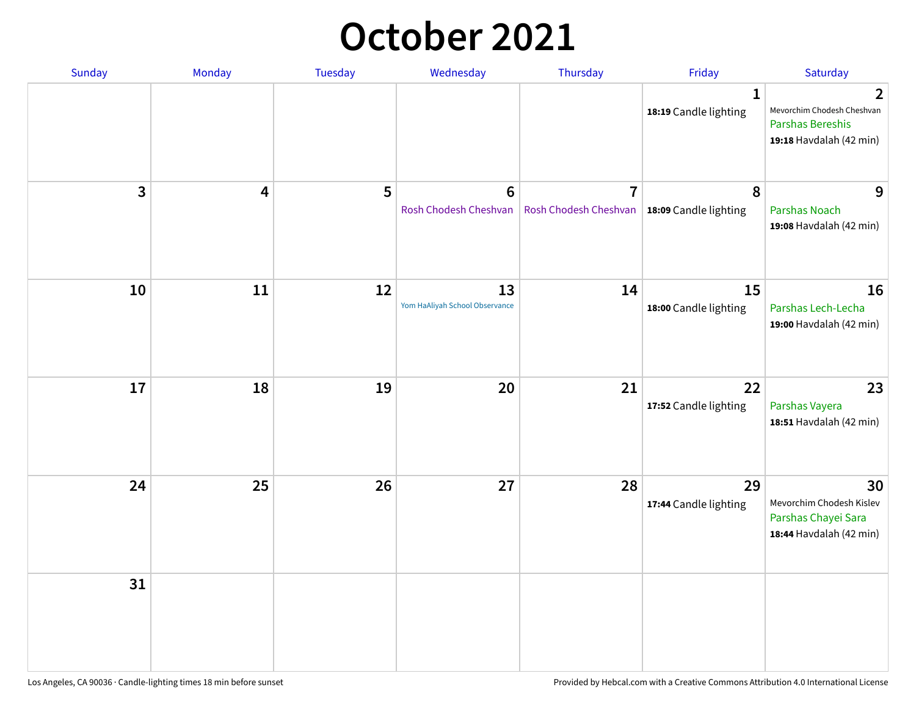### **October 2021**

| Sunday       | Monday | Tuesday | Wednesday                            | Thursday                                                        | Friday                                | Saturday                                                                                  |
|--------------|--------|---------|--------------------------------------|-----------------------------------------------------------------|---------------------------------------|-------------------------------------------------------------------------------------------|
|              |        |         |                                      |                                                                 | $\mathbf{1}$<br>18:19 Candle lighting | $\mathbf{2}$<br>Mevorchim Chodesh Cheshvan<br>Parshas Bereshis<br>19:18 Havdalah (42 min) |
| $\mathbf{3}$ | 4      | 5       | $\bf 6$<br>Rosh Chodesh Cheshvan     | $\overline{7}$<br>Rosh Chodesh Cheshvan   18:09 Candle lighting | 8                                     | 9<br><b>Parshas Noach</b><br>19:08 Havdalah (42 min)                                      |
| 10           | 11     | 12      | 13<br>Yom HaAliyah School Observance | 14                                                              | 15<br>18:00 Candle lighting           | 16<br>Parshas Lech-Lecha<br>19:00 Havdalah (42 min)                                       |
| 17           | 18     | 19      | 20                                   | 21                                                              | 22<br>17:52 Candle lighting           | 23<br>Parshas Vayera<br>18:51 Havdalah (42 min)                                           |
| 24           | 25     | 26      | 27                                   | 28                                                              | 29<br>17:44 Candle lighting           | 30<br>Mevorchim Chodesh Kislev<br>Parshas Chayei Sara<br>18:44 Havdalah (42 min)          |
| 31           |        |         |                                      |                                                                 |                                       |                                                                                           |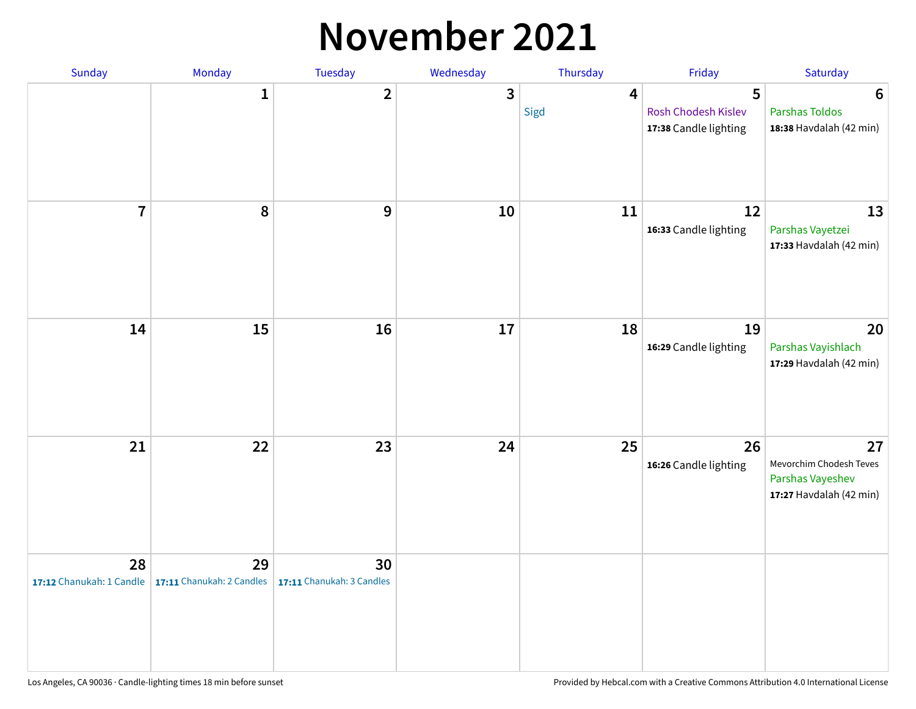#### **November 2021**

| Sunday         | Monday                                                   | Tuesday                         | Wednesday    | Thursday               | Friday                                            | Saturday                                                                     |
|----------------|----------------------------------------------------------|---------------------------------|--------------|------------------------|---------------------------------------------------|------------------------------------------------------------------------------|
|                | $\mathbf{1}$                                             | $\mathbf{2}$                    | $\mathbf{3}$ | $\overline{4}$<br>Sigd | 5<br>Rosh Chodesh Kislev<br>17:38 Candle lighting | $6\phantom{1}6$<br><b>Parshas Toldos</b><br>18:38 Havdalah (42 min)          |
| $\overline{7}$ | 8                                                        | $\boldsymbol{9}$                | 10           | 11                     | 12<br>16:33 Candle lighting                       | 13<br>Parshas Vayetzei<br>17:33 Havdalah (42 min)                            |
| 14             | 15                                                       | 16                              | 17           | 18                     | 19<br>16:29 Candle lighting                       | 20<br>Parshas Vayishlach<br>17:29 Havdalah (42 min)                          |
| 21             | 22                                                       | 23                              | 24           | 25                     | 26<br>16:26 Candle lighting                       | 27<br>Mevorchim Chodesh Teves<br>Parshas Vayeshev<br>17:27 Havdalah (42 min) |
| 28             | 29<br>17:12 Chanukah: 1 Candle 17:11 Chanukah: 2 Candles | 30<br>17:11 Chanukah: 3 Candles |              |                        |                                                   |                                                                              |